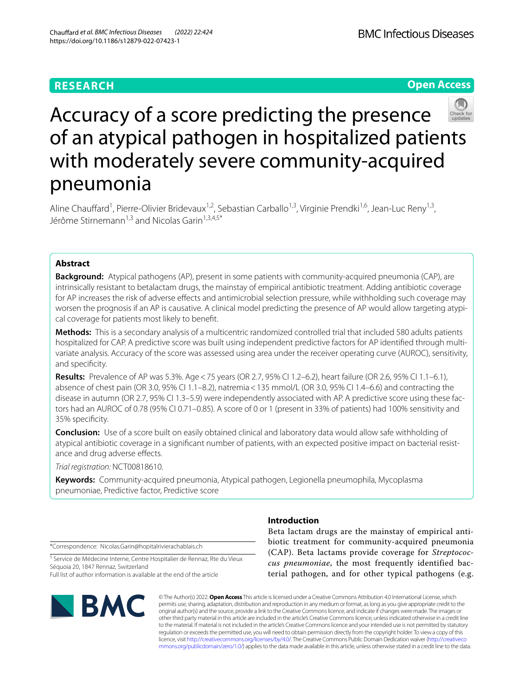# **RESEARCH**

**Open Access**



# Accuracy of a score predicting the presence of an atypical pathogen in hospitalized patients with moderately severe community-acquired pneumonia

Aline Chauffard<sup>1</sup>, Pierre-Olivier Bridevaux<sup>1,2</sup>, Sebastian Carballo<sup>1,3</sup>, Virginie Prendki<sup>1,6</sup>, Jean-Luc Reny<sup>1,3</sup>, Jérôme Stirnemann<sup>1,3</sup> and Nicolas Garin<sup>1,3,4,5\*</sup>

# **Abstract**

**Background:** Atypical pathogens (AP), present in some patients with community-acquired pneumonia (CAP), are intrinsically resistant to betalactam drugs, the mainstay of empirical antibiotic treatment. Adding antibiotic coverage for AP increases the risk of adverse efects and antimicrobial selection pressure, while withholding such coverage may worsen the prognosis if an AP is causative. A clinical model predicting the presence of AP would allow targeting atypical coverage for patients most likely to beneft.

**Methods:** This is a secondary analysis of a multicentric randomized controlled trial that included 580 adults patients hospitalized for CAP. A predictive score was built using independent predictive factors for AP identified through multivariate analysis. Accuracy of the score was assessed using area under the receiver operating curve (AUROC), sensitivity, and specificity.

**Results:** Prevalence of AP was 5.3%. Age<75 years (OR 2.7, 95% CI 1.2–6.2), heart failure (OR 2.6, 95% CI 1.1–6.1), absence of chest pain (OR 3.0, 95% CI 1.1–8.2), natremia<135 mmol/L (OR 3.0, 95% CI 1.4–6.6) and contracting the disease in autumn (OR 2.7, 95% CI 1.3–5.9) were independently associated with AP. A predictive score using these factors had an AUROC of 0.78 (95% CI 0.71–0.85). A score of 0 or 1 (present in 33% of patients) had 100% sensitivity and 35% specifcity.

**Conclusion:** Use of a score built on easily obtained clinical and laboratory data would allow safe withholding of atypical antibiotic coverage in a significant number of patients, with an expected positive impact on bacterial resistance and drug adverse effects.

*Trial registration:* NCT00818610.

**Keywords:** Community-acquired pneumonia, Atypical pathogen, Legionella pneumophila, Mycoplasma pneumoniae, Predictive factor, Predictive score

\*Correspondence: Nicolas.Garin@hopitalrivierachablais.ch

<sup>5</sup> Service de Médecine Interne, Centre Hospitalier de Rennaz, Rte du Vieux Séquoia 20, 1847 Rennaz, Switzerland Full list of author information is available at the end of the article



# **Introduction**

Beta lactam drugs are the mainstay of empirical antibiotic treatment for community-acquired pneumonia (CAP). Beta lactams provide coverage for *Streptococcus pneumoniae*, the most frequently identified bacterial pathogen, and for other typical pathogens (e.g.

© The Author(s) 2022. **Open Access** This article is licensed under a Creative Commons Attribution 4.0 International License, which permits use, sharing, adaptation, distribution and reproduction in any medium or format, as long as you give appropriate credit to the original author(s) and the source, provide a link to the Creative Commons licence, and indicate if changes were made. The images or other third party material in this article are included in the article's Creative Commons licence, unless indicated otherwise in a credit line to the material. If material is not included in the article's Creative Commons licence and your intended use is not permitted by statutory regulation or exceeds the permitted use, you will need to obtain permission directly from the copyright holder. To view a copy of this licence, visit [http://creativecommons.org/licenses/by/4.0/.](http://creativecommons.org/licenses/by/4.0/) The Creative Commons Public Domain Dedication waiver ([http://creativeco](http://creativecommons.org/publicdomain/zero/1.0/) [mmons.org/publicdomain/zero/1.0/](http://creativecommons.org/publicdomain/zero/1.0/)) applies to the data made available in this article, unless otherwise stated in a credit line to the data.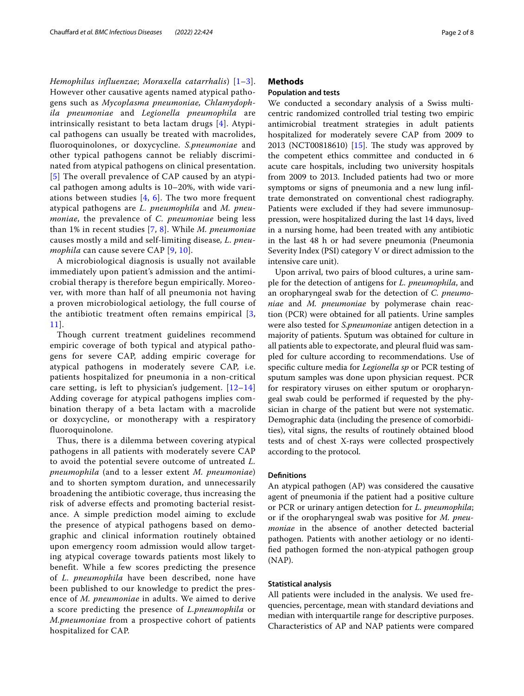*Hemophilus influenzae*; *Moraxella catarrhalis*) [[1–](#page-6-0)[3\]](#page-6-1). However other causative agents named atypical pathogens such as *Mycoplasma pneumoniae, Chlamydophila pneumoniae* and *Legionella pneumophila* are intrinsically resistant to beta lactam drugs [[4](#page-6-2)]. Atypical pathogens can usually be treated with macrolides, fluoroquinolones, or doxycycline. *S.pneumoniae* and other typical pathogens cannot be reliably discriminated from atypical pathogens on clinical presentation. [[5](#page-6-3)] The overall prevalence of CAP caused by an atypical pathogen among adults is 10–20%, with wide variations between studies  $[4, 6]$  $[4, 6]$  $[4, 6]$  $[4, 6]$ . The two more frequent atypical pathogens are *L. pneumophila* and *M. pneumoniae*, the prevalence of *C. pneumoniae* being less than 1% in recent studies [[7](#page-6-5), [8\]](#page-6-6). While *M. pneumoniae* causes mostly a mild and self-limiting disease*, L. pneumophila* can cause severe CAP [\[9,](#page-6-7) [10\]](#page-6-8).

A microbiological diagnosis is usually not available immediately upon patient's admission and the antimicrobial therapy is therefore begun empirically. Moreover, with more than half of all pneumonia not having a proven microbiological aetiology, the full course of the antibiotic treatment often remains empirical [[3](#page-6-1), [11](#page-6-9)].

Though current treatment guidelines recommend empiric coverage of both typical and atypical pathogens for severe CAP, adding empiric coverage for atypical pathogens in moderately severe CAP, i.e. patients hospitalized for pneumonia in a non-critical care setting, is left to physician's judgement. [[12](#page-6-10)–[14](#page-6-11)] Adding coverage for atypical pathogens implies combination therapy of a beta lactam with a macrolide or doxycycline, or monotherapy with a respiratory fluoroquinolone.

Thus, there is a dilemma between covering atypical pathogens in all patients with moderately severe CAP to avoid the potential severe outcome of untreated *L. pneumophila* (and to a lesser extent *M. pneumoniae*) and to shorten symptom duration, and unnecessarily broadening the antibiotic coverage, thus increasing the risk of adverse effects and promoting bacterial resistance. A simple prediction model aiming to exclude the presence of atypical pathogens based on demographic and clinical information routinely obtained upon emergency room admission would allow targeting atypical coverage towards patients most likely to benefit. While a few scores predicting the presence of *L. pneumophila* have been described, none have been published to our knowledge to predict the presence of *M. pneumoniae* in adults. We aimed to derive a score predicting the presence of *L.pneumophila* or *M.pneumoniae* from a prospective cohort of patients hospitalized for CAP.

# **Methods**

# **Population and tests**

We conducted a secondary analysis of a Swiss multicentric randomized controlled trial testing two empiric antimicrobial treatment strategies in adult patients hospitalized for moderately severe CAP from 2009 to 2013 (NCT00818610) [[15](#page-6-12)]. The study was approved by the competent ethics committee and conducted in 6 acute care hospitals, including two university hospitals from 2009 to 2013. Included patients had two or more symptoms or signs of pneumonia and a new lung infltrate demonstrated on conventional chest radiography. Patients were excluded if they had severe immunosuppression, were hospitalized during the last 14 days, lived in a nursing home, had been treated with any antibiotic in the last 48 h or had severe pneumonia (Pneumonia Severity Index (PSI) category V or direct admission to the intensive care unit).

Upon arrival, two pairs of blood cultures, a urine sample for the detection of antigens for *L. pneumophila*, and an oropharyngeal swab for the detection of *C. pneumoniae* and *M. pneumoniae* by polymerase chain reaction (PCR) were obtained for all patients. Urine samples were also tested for *S.pneumoniae* antigen detection in a majority of patients. Sputum was obtained for culture in all patients able to expectorate, and pleural fuid was sampled for culture according to recommendations. Use of specifc culture media for *Legionella sp* or PCR testing of sputum samples was done upon physician request. PCR for respiratory viruses on either sputum or oropharyngeal swab could be performed if requested by the physician in charge of the patient but were not systematic. Demographic data (including the presence of comorbidities), vital signs, the results of routinely obtained blood tests and of chest X-rays were collected prospectively according to the protocol.

#### **Defnitions**

An atypical pathogen (AP) was considered the causative agent of pneumonia if the patient had a positive culture or PCR or urinary antigen detection for *L. pneumophila*; or if the oropharyngeal swab was positive for *M. pneumoniae* in the absence of another detected bacterial pathogen. Patients with another aetiology or no identifed pathogen formed the non-atypical pathogen group (NAP).

## **Statistical analysis**

All patients were included in the analysis. We used frequencies, percentage, mean with standard deviations and median with interquartile range for descriptive purposes. Characteristics of AP and NAP patients were compared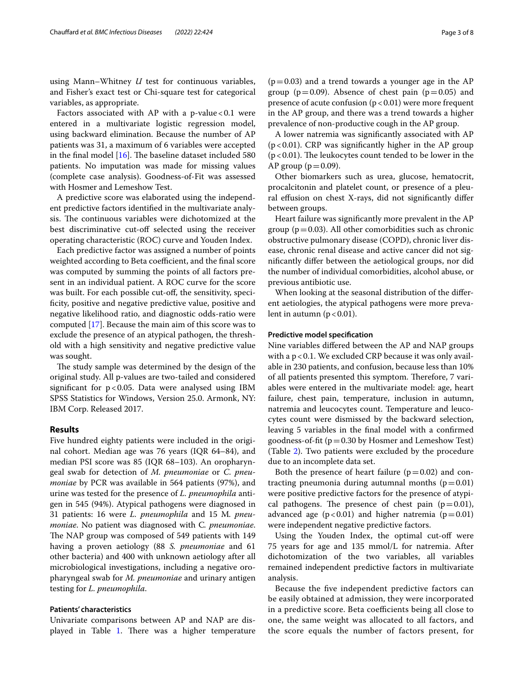using Mann–Whitney *U* test for continuous variables, and Fisher's exact test or Chi-square test for categorical variables, as appropriate.

Factors associated with AP with a  $p$ -value <0.1 were entered in a multivariate logistic regression model, using backward elimination. Because the number of AP patients was 31, a maximum of 6 variables were accepted in the final model  $[16]$  $[16]$ . The baseline dataset included 580 patients. No imputation was made for missing values (complete case analysis). Goodness-of-Fit was assessed with Hosmer and Lemeshow Test.

A predictive score was elaborated using the independent predictive factors identifed in the multivariate analysis. The continuous variables were dichotomized at the best discriminative cut-off selected using the receiver operating characteristic (ROC) curve and Youden Index.

Each predictive factor was assigned a number of points weighted according to Beta coefficient, and the final score was computed by summing the points of all factors present in an individual patient. A ROC curve for the score was built. For each possible cut-off, the sensitivity, specifcity, positive and negative predictive value, positive and negative likelihood ratio, and diagnostic odds-ratio were computed [[17](#page-7-1)]. Because the main aim of this score was to exclude the presence of an atypical pathogen, the threshold with a high sensitivity and negative predictive value was sought.

The study sample was determined by the design of the original study. All p-values are two-tailed and considered signifcant for p<0.05. Data were analysed using IBM SPSS Statistics for Windows, Version 25.0. Armonk, NY: IBM Corp. Released 2017.

# **Results**

Five hundred eighty patients were included in the original cohort. Median age was 76 years (IQR 64–84), and median PSI score was 85 (IQR 68–103). An oropharyngeal swab for detection of *M. pneumoniae* or *C. pneumoniae* by PCR was available in 564 patients (97%), and urine was tested for the presence of *L. pneumophila* antigen in 545 (94%). Atypical pathogens were diagnosed in 31 patients: 16 were *L. pneumophila* and 15 M*. pneumoniae*. No patient was diagnosed with C*. pneumoniae*. The NAP group was composed of 549 patients with 149 having a proven aetiology (88 *S. pneumoniae* and 61 other bacteria) and 400 with unknown aetiology after all microbiological investigations, including a negative oropharyngeal swab for *M. pneumoniae* and urinary antigen testing for *L. pneumophila*.

## **Patients' characteristics**

Univariate comparisons between AP and NAP are dis-played in Table [1](#page-3-0). There was a higher temperature

 $(p=0.03)$  and a trend towards a younger age in the AP group ( $p=0.09$ ). Absence of chest pain ( $p=0.05$ ) and presence of acute confusion  $(p < 0.01)$  were more frequent in the AP group, and there was a trend towards a higher prevalence of non-productive cough in the AP group.

A lower natremia was signifcantly associated with AP  $(p<0.01)$ . CRP was significantly higher in the AP group  $(p<0.01)$ . The leukocytes count tended to be lower in the AP group ( $p=0.09$ ).

Other biomarkers such as urea, glucose, hematocrit, procalcitonin and platelet count, or presence of a pleural efusion on chest X-rays, did not signifcantly difer between groups.

Heart failure was signifcantly more prevalent in the AP group ( $p=0.03$ ). All other comorbidities such as chronic obstructive pulmonary disease (COPD), chronic liver disease, chronic renal disease and active cancer did not signifcantly difer between the aetiological groups, nor did the number of individual comorbidities, alcohol abuse, or previous antibiotic use.

When looking at the seasonal distribution of the diferent aetiologies, the atypical pathogens were more prevalent in autumn  $(p < 0.01)$ .

## **Predictive model specifcation**

Nine variables difered between the AP and NAP groups with a  $p < 0.1$ . We excluded CRP because it was only available in 230 patients, and confusion, because less than 10% of all patients presented this symptom. Therefore, 7 variables were entered in the multivariate model: age, heart failure, chest pain, temperature, inclusion in autumn, natremia and leucocytes count. Temperature and leucocytes count were dismissed by the backward selection, leaving 5 variables in the fnal model with a confrmed goodness-of-fit  $(p=0.30 \text{ by Hosmer and Lemeshow Test})$ (Table [2\)](#page-4-0). Two patients were excluded by the procedure due to an incomplete data set.

Both the presence of heart failure  $(p=0.02)$  and contracting pneumonia during autumnal months ( $p=0.01$ ) were positive predictive factors for the presence of atypical pathogens. The presence of chest pain ( $p=0.01$ ), advanced age  $(p<0.01)$  and higher natremia  $(p=0.01)$ were independent negative predictive factors.

Using the Youden Index, the optimal cut-of were 75 years for age and 135 mmol/L for natremia. After dichotomization of the two variables, all variables remained independent predictive factors in multivariate analysis.

Because the fve independent predictive factors can be easily obtained at admission, they were incorporated in a predictive score. Beta coefficients being all close to one, the same weight was allocated to all factors, and the score equals the number of factors present, for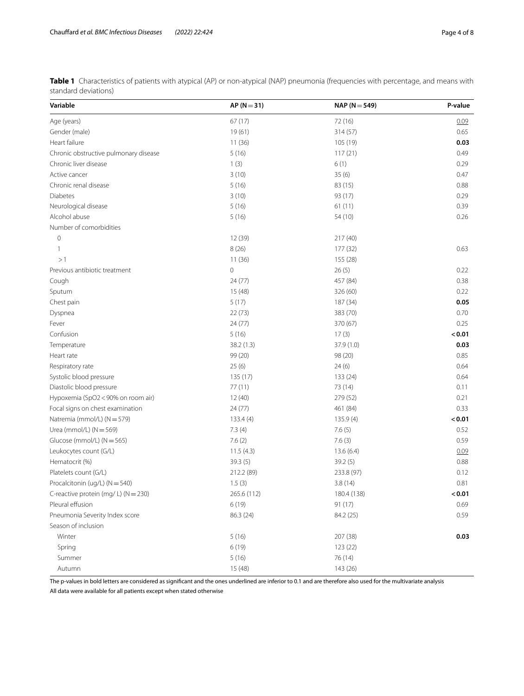<span id="page-3-0"></span>

| Table 1 Characteristics of patients with atypical (AP) or non-atypical (NAP) pneumonia (frequencies with percentage, and means with |  |  |  |
|-------------------------------------------------------------------------------------------------------------------------------------|--|--|--|
| standard deviations)                                                                                                                |  |  |  |

| Variable                              | $AP (N = 31)$ | $NAP (N = 549)$ | P-value |
|---------------------------------------|---------------|-----------------|---------|
| Age (years)                           | 67(17)        | 72 (16)         | 0.09    |
| Gender (male)                         | 19(61)        | 314 (57)        | 0.65    |
| Heart failure                         | 11(36)        | 105 (19)        | 0.03    |
| Chronic obstructive pulmonary disease | 5(16)         | 117(21)         | 0.49    |
| Chronic liver disease                 | 1(3)          | 6(1)            | 0.29    |
| Active cancer                         | 3(10)         | 35(6)           | 0.47    |
| Chronic renal disease                 | 5(16)         | 83 (15)         | 0.88    |
| <b>Diabetes</b>                       | 3(10)         | 93 (17)         | 0.29    |
| Neurological disease                  | 5(16)         | 61(11)          | 0.39    |
| Alcohol abuse                         | 5(16)         | 54 (10)         | 0.26    |
| Number of comorbidities               |               |                 |         |
| $\mathbf 0$                           | 12 (39)       | 217(40)         |         |
| 1                                     | 8(26)         | 177 (32)        | 0.63    |
| >1                                    | 11(36)        | 155 (28)        |         |
| Previous antibiotic treatment         | $\circ$       | 26(5)           | 0.22    |
| Cough                                 | 24 (77)       | 457 (84)        | 0.38    |
| Sputum                                | 15 (48)       | 326 (60)        | 0.22    |
| Chest pain                            | 5(17)         | 187 (34)        | 0.05    |
| Dyspnea                               | 22(73)        | 383 (70)        | 0.70    |
| Fever                                 | 24(77)        | 370 (67)        | 0.25    |
| Confusion                             | 5(16)         | 17(3)           | < 0.01  |
| Temperature                           | 38.2 (1.3)    | 37.9 (1.0)      | 0.03    |
| Heart rate                            | 99 (20)       | 98 (20)         | 0.85    |
| Respiratory rate                      | 25(6)         | 24(6)           | 0.64    |
| Systolic blood pressure               | 135 (17)      | 133 (24)        | 0.64    |
| Diastolic blood pressure              | 77 (11)       | 73 (14)         | 0.11    |
| Hypoxemia (SpO2 < 90% on room air)    | 12(40)        | 279 (52)        | 0.21    |
| Focal signs on chest examination      | 24(77)        | 461 (84)        | 0.33    |
| Natremia (mmol/L) (N = 579)           | 133.4(4)      | 135.9(4)        | < 0.01  |
| Urea (mmol/L) $(N = 569)$             | 7.3(4)        | 7.6(5)          | 0.52    |
| Glucose (mmol/L) (N = 565)            | 7.6(2)        | 7.6(3)          | 0.59    |
| Leukocytes count (G/L)                | 11.5(4.3)     | 13.6(6.4)       | 0.09    |
| Hematocrit (%)                        | 39.3 (5)      | 39.2 (5)        | 0.88    |
| Platelets count (G/L)                 | 212.2 (89)    | 233.8 (97)      | 0.12    |
| Procalcitonin (ug/L) (N = 540)        | 1.5(3)        | 3.8(14)         | 0.81    |
| C-reactive protein (mg/ L) (N = 230)  | 265.6 (112)   | 180.4 (138)     | 0.01    |
| Pleural effusion                      | 6(19)         | 91(17)          | 0.69    |
| Pneumonia Severity Index score        | 86.3 (24)     | 84.2 (25)       | 0.59    |
| Season of inclusion                   |               |                 |         |
| Winter                                | 5(16)         | 207 (38)        | 0.03    |
| Spring                                | 6(19)         | 123 (22)        |         |
| Summer                                | 5(16)         | 76 (14)         |         |
| Autumn                                | 15 (48)       | 143 (26)        |         |

The p-values in bold letters are considered as significant and the ones underlined are inferior to 0.1 and are therefore also used for the multivariate analysis

All data were available for all patients except when stated otherwise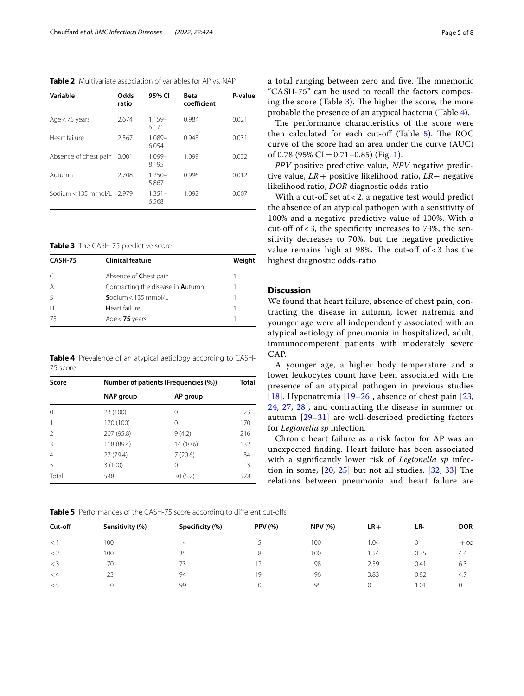<span id="page-4-0"></span>**Table 2** Multivariate association of variables for AP vs. NAP

| Variable                  | Odds<br>ratio | 95% CI             | <b>Beta</b><br>coefficient | P-value |
|---------------------------|---------------|--------------------|----------------------------|---------|
| Age $<$ 75 years          | 2.674         | $1.159-$<br>6.171  | 0.984                      | 0.021   |
| Heart failure             | 2.567         | $1.089 -$<br>6.054 | 0.943                      | 0.031   |
| Absence of chest pain     | 3.001         | $1.099 -$<br>8.195 | 1.099                      | 0.032   |
| Autumn                    | 2.708         | $1.250 -$<br>5.867 | 0.996                      | 0.012   |
| Sodium < 135 mmol/l 2.979 |               | $1.351-$<br>6.568  | 1.092                      | 0.007   |

<span id="page-4-1"></span>**Table 3** The CASH-75 predictive score

| CASH-75 | <b>Clinical feature</b>                  |  |
|---------|------------------------------------------|--|
|         | Absence of Chest pain                    |  |
| А       | Contracting the disease in <b>Autumn</b> |  |
|         | Sodium < $135$ mmol/L                    |  |
|         | Heart failure                            |  |
| 75      | Age $<$ 75 years                         |  |

<span id="page-4-2"></span>**Table 4** Prevalence of an atypical aetiology according to CASH-75 score

| Score         | Number of patients (Frequencies (%)) | <b>Total</b> |     |  |
|---------------|--------------------------------------|--------------|-----|--|
|               | <b>NAP</b> group                     | AP group     |     |  |
| 0             | 23 (100)                             | 0            | 23  |  |
|               | 170 (100)                            | 0            | 170 |  |
| $\mathcal{P}$ | 207 (95.8)                           | 9(4.2)       | 216 |  |
| Β             | 118 (89.4)                           | 14 (10.6)    | 132 |  |
| 4             | 27 (79.4)                            | 7(20.6)      | 34  |  |
| 5             | 3(100)                               | 0            | 3   |  |
| Total         | 548                                  | 30(5.2)      | 578 |  |

a total ranging between zero and five. The mnemonic "CASH-75" can be used to recall the factors composing the score (Table  $3$ ). The higher the score, the more probable the presence of an atypical bacteria (Table [4\)](#page-4-2).

The performance characteristics of the score were then calculated for each cut-off (Table  $5$ ). The ROC curve of the score had an area under the curve (AUC) of 0.78 (95% CI = 0.71 – 0.85) (Fig. [1](#page-5-0)).

*PPV* positive predictive value, *NPV* negative predictive value, *LR*+ positive likelihood ratio, *LR*− negative likelihood ratio, *DOR* diagnostic odds-ratio

With a cut-off set at  $<$  2, a negative test would predict the absence of an atypical pathogen with a sensitivity of 100% and a negative predictive value of 100%. With a cut-off of  $<$  3, the specificity increases to 73%, the sensitivity decreases to 70%, but the negative predictive value remains high at 98%. The cut-off of  $<$  3 has the highest diagnostic odds-ratio.

# **Discussion**

We found that heart failure, absence of chest pain, contracting the disease in autumn, lower natremia and younger age were all independently associated with an atypical aetiology of pneumonia in hospitalized, adult, immunocompetent patients with moderately severe CAP.

A younger age, a higher body temperature and a lower leukocytes count have been associated with the presence of an atypical pathogen in previous studies [[18](#page-7-2)]. Hyponatremia [[19](#page-7-3)[–26](#page-7-4)], absence of chest pain [\[23](#page-7-5), [24,](#page-7-6) [27](#page-7-7), [28](#page-7-8)], and contracting the disease in summer or autumn [[29](#page-7-9)[–31](#page-7-10)] are well-described predicting factors for *Legionella sp* infection.

Chronic heart failure as a risk factor for AP was an unexpected fnding. Heart failure has been associated with a signifcantly lower risk of *Legionella sp* infection in some,  $[20, 25]$  $[20, 25]$  $[20, 25]$  $[20, 25]$  but not all studies.  $[32, 33]$  $[32, 33]$  $[32, 33]$  $[32, 33]$  $[32, 33]$  The relations between pneumonia and heart failure are

<span id="page-4-3"></span>**Table 5** Performances of the CASH-75 score according to different cut-offs

| Cut-off  | Sensitivity (%) | Specificity (%) | <b>PPV</b> (%) | <b>NPV (%)</b> | $LR+$ | LR-  | <b>DOR</b> |
|----------|-----------------|-----------------|----------------|----------------|-------|------|------------|
| $\lt$ 1  | 100             |                 |                | 100            | .04   |      | $+\infty$  |
| $\lt 2$  | 100             | 35              | 8              | 100            | .54   | 0.35 | 4.4        |
| $\lt$ 3  | 70              | 73              |                | 98             | 2.59  | 0.41 | 6.3        |
| $\leq$ 4 | 23              | 94              | 19             | 96             | 3.83  | 0.82 | 4.7        |
| $\leq 5$ |                 | 99              | O              | 95             |       | 1.01 |            |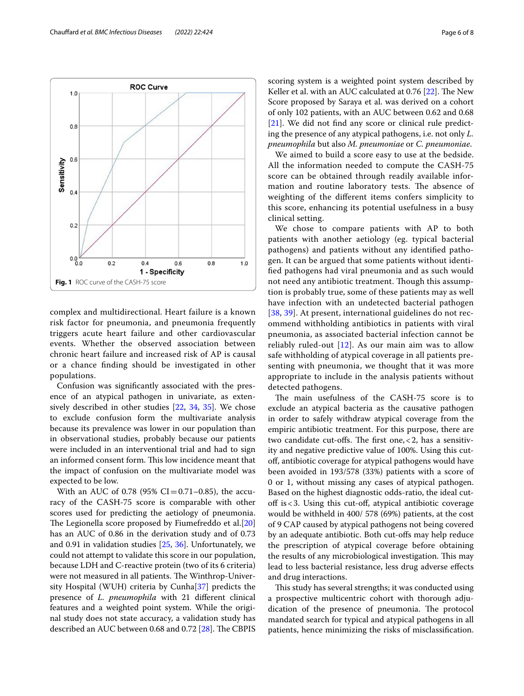<span id="page-5-0"></span>complex and multidirectional. Heart failure is a known risk factor for pneumonia, and pneumonia frequently triggers acute heart failure and other cardiovascular events. Whether the observed association between chronic heart failure and increased risk of AP is causal or a chance fnding should be investigated in other populations.

Confusion was signifcantly associated with the presence of an atypical pathogen in univariate, as extensively described in other studies [\[22](#page-7-15), [34,](#page-7-16) [35\]](#page-7-17). We chose to exclude confusion form the multivariate analysis because its prevalence was lower in our population than in observational studies, probably because our patients were included in an interventional trial and had to sign an informed consent form. This low incidence meant that the impact of confusion on the multivariate model was expected to be low.

With an AUC of 0.78 (95% CI=0.71–0.85), the accuracy of the CASH-75 score is comparable with other scores used for predicting the aetiology of pneumonia. The Legionella score proposed by Fiumefreddo et al.[[20](#page-7-11)] has an AUC of 0.86 in the derivation study and of 0.73 and 0.91 in validation studies [[25,](#page-7-12) [36\]](#page-7-18). Unfortunately, we could not attempt to validate this score in our population, because LDH and C-reactive protein (two of its 6 criteria) were not measured in all patients. The Winthrop-University Hospital (WUH) criteria by Cunha[\[37](#page-7-19)] predicts the presence of *L. pneumophila* with 21 diferent clinical features and a weighted point system. While the original study does not state accuracy, a validation study has described an AUC between 0.68 and 0.72 [[28\]](#page-7-8). The CBPIS scoring system is a weighted point system described by Keller et al. with an AUC calculated at  $0.76$  [\[22](#page-7-15)]. The New Score proposed by Saraya et al. was derived on a cohort of only 102 patients, with an AUC between 0.62 and 0.68 [[21\]](#page-7-20). We did not fnd any score or clinical rule predicting the presence of any atypical pathogens, i.e. not only *L. pneumophila* but also *M. pneumoniae* or *C. pneumoniae*.

We aimed to build a score easy to use at the bedside. All the information needed to compute the CASH-75 score can be obtained through readily available information and routine laboratory tests. The absence of weighting of the diferent items confers simplicity to this score, enhancing its potential usefulness in a busy clinical setting.

We chose to compare patients with AP to both patients with another aetiology (eg. typical bacterial pathogens) and patients without any identifed pathogen. It can be argued that some patients without identifed pathogens had viral pneumonia and as such would not need any antibiotic treatment. Though this assumption is probably true, some of these patients may as well have infection with an undetected bacterial pathogen [[38](#page-7-21), [39](#page-7-22)]. At present, international guidelines do not recommend withholding antibiotics in patients with viral pneumonia, as associated bacterial infection cannot be reliably ruled-out [[12\]](#page-6-10). As our main aim was to allow safe withholding of atypical coverage in all patients presenting with pneumonia, we thought that it was more appropriate to include in the analysis patients without detected pathogens.

The main usefulness of the CASH-75 score is to exclude an atypical bacteria as the causative pathogen in order to safely withdraw atypical coverage from the empiric antibiotic treatment. For this purpose, there are two candidate cut-offs. The first one,  $<$  2, has a sensitivity and negative predictive value of 100%. Using this cutof, antibiotic coverage for atypical pathogens would have been avoided in 193/578 (33%) patients with a score of 0 or 1, without missing any cases of atypical pathogen. Based on the highest diagnostic odds-ratio, the ideal cutoff is  $<$  3. Using this cut-off, atypical antibiotic coverage would be withheld in 400/ 578 (69%) patients, at the cost of 9 CAP caused by atypical pathogens not being covered by an adequate antibiotic. Both cut-ofs may help reduce the prescription of atypical coverage before obtaining the results of any microbiological investigation. This may lead to less bacterial resistance, less drug adverse efects and drug interactions.

This study has several strengths; it was conducted using a prospective multicentric cohort with thorough adjudication of the presence of pneumonia. The protocol mandated search for typical and atypical pathogens in all patients, hence minimizing the risks of misclassifcation.

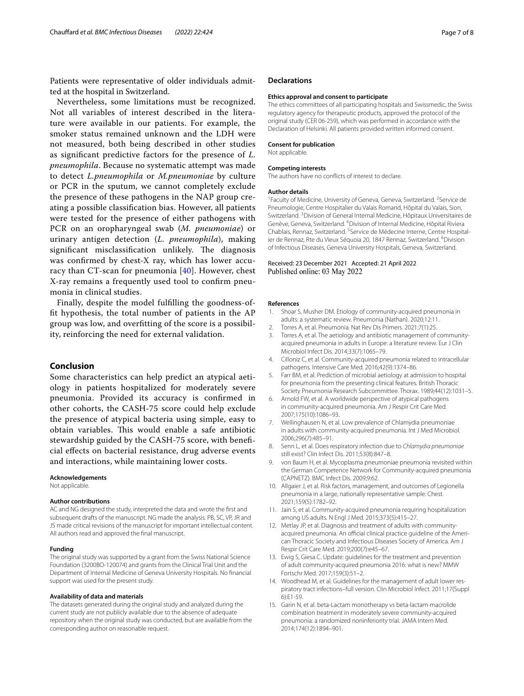Patients were representative of older individuals admitted at the hospital in Switzerland.

Nevertheless, some limitations must be recognized. Not all variables of interest described in the literature were available in our patients. For example, the smoker status remained unknown and the LDH were not measured, both being described in other studies as signifcant predictive factors for the presence of *L. pneumophila*. Because no systematic attempt was made to detect *L.pneumophila* or *M.pneumoniae* by culture or PCR in the sputum, we cannot completely exclude the presence of these pathogens in the NAP group creating a possible classifcation bias. However, all patients were tested for the presence of either pathogens with PCR on an oropharyngeal swab (*M. pneumoniae*) or urinary antigen detection (*L. pneumophila*), making significant misclassification unlikely. The diagnosis was confrmed by chest-X ray, which has lower accuracy than CT-scan for pneumonia [\[40\]](#page-7-23). However, chest X-ray remains a frequently used tool to confrm pneumonia in clinical studies.

Finally, despite the model fulflling the goodness-offt hypothesis, the total number of patients in the AP group was low, and overftting of the score is a possibility, reinforcing the need for external validation.

# **Conclusion**

Some characteristics can help predict an atypical aetiology in patients hospitalized for moderately severe pneumonia. Provided its accuracy is confrmed in other cohorts, the CASH-75 score could help exclude the presence of atypical bacteria using simple, easy to obtain variables. This would enable a safe antibiotic stewardship guided by the CASH-75 score, with benefcial efects on bacterial resistance, drug adverse events and interactions, while maintaining lower costs.

#### **Acknowledgements**

Not applicable.

#### **Author contributions**

AC and NG designed the study, interpreted the data and wrote the frst and subsequent drafts of the manuscript. NG made the analysis. PB, SC, VP, JR and JS made critical revisions of the manuscript for important intellectual content. All authors read and approved the fnal manuscript.

#### **Funding**

The original study was supported by a grant from the Swiss National Science Foundation (3200BO-120074) and grants from the Clinical Trial Unit and the Department of Internal Medicine of Geneva University Hospitals. No fnancial support was used for the present study.

#### **Availability of data and materials**

The datasets generated during the original study and analyzed during the current study are not publicly available due to the absence of adequate repository when the original study was conducted, but are available from the corresponding author on reasonable request.

#### **Declarations**

#### **Ethics approval and consent to participate**

The ethics committees of all participating hospitals and Swissmedic, the Swiss regulatory agency for therapeutic products, approved the protocol of the original study (CER 06-259), which was performed in accordance with the Declaration of Helsinki. All patients provided written informed consent.

## **Consent for publication**

Not applicable.

#### **Competing interests**

The authors have no conficts of interest to declare.

#### **Author details**

<sup>1</sup> Faculty of Medicine, University of Geneva, Geneva, Switzerland. <sup>2</sup> Service de Pneumologie, Centre Hospitalier du Valais Romand, Hôpital du Valais, Sion, Switzerland.<sup>3</sup> Division of General Internal Medicine, Hôpitaux Universitaires de Genève, Geneva, Switzerland. <sup>4</sup> Division of Internal Medicine, Hôpital Riviera Chablais, Rennaz, Switzerland. <sup>5</sup> Service de Médecine Interne, Centre Hospitalier de Rennaz, Rte du Vieux Séquoia 20, 1847 Rennaz, Switzerland. <sup>6</sup>Division of Infectious Diseases, Geneva University Hospitals, Geneva, Switzerland.

#### Received: 23 December 2021 Accepted: 21 April 2022 Published online: 03 May 2022

#### **References**

- <span id="page-6-0"></span>1. Shoar S, Musher DM. Etiology of community-acquired pneumonia in adults: a systematic review. Pneumonia (Nathan). 2020;12:11.
- 2. Torres A, et al. Pneumonia. Nat Rev Dis Primers. 2021;7(1):25.
- <span id="page-6-1"></span>3. Torres A, et al. The aetiology and antibiotic management of communityacquired pneumonia in adults in Europe: a literature review. Eur J Clin Microbiol Infect Dis. 2014;33(7):1065–79.
- <span id="page-6-2"></span>4. Cilloniz C, et al. Community-acquired pneumonia related to intracellular pathogens. Intensive Care Med. 2016;42(9):1374–86.
- <span id="page-6-3"></span>5. Farr BM, et al. Prediction of microbial aetiology at admission to hospital for pneumonia from the presenting clinical features. British Thoracic Society Pneumonia Research Subcommittee. Thorax. 1989;44(12):1031–5.
- <span id="page-6-4"></span>6. Arnold FW, et al. A worldwide perspective of atypical pathogens in community-acquired pneumonia. Am J Respir Crit Care Med. 2007;175(10):1086–93.
- <span id="page-6-5"></span>7. Wellinghausen N, et al. Low prevalence of Chlamydia pneumoniae in adults with community-acquired pneumonia. Int J Med Microbiol. 2006;296(7):485–91.
- <span id="page-6-6"></span>8. Senn L, et al. Does respiratory infection due to *Chlamydia pneumoniae* still exist? Clin Infect Dis. 2011;53(8):847–8.
- <span id="page-6-7"></span>9. von Baum H, et al. Mycoplasma pneumoniae pneumonia revisited within the German Competence Network for Community-acquired pneumonia (CAPNETZ). BMC Infect Dis. 2009;9:62.
- <span id="page-6-8"></span>10. Allgaier J, et al. Risk factors, management, and outcomes of Legionella pneumonia in a large, nationally representative sample. Chest. 2021;159(5):1782–92.
- <span id="page-6-9"></span>11. Jain S, et al. Community-acquired pneumonia requiring hospitalization among US adults. N Engl J Med. 2015;373(5):415–27.
- <span id="page-6-10"></span>12. Metlay JP, et al. Diagnosis and treatment of adults with communityacquired pneumonia. An official clinical practice guideline of the American Thoracic Society and Infectious Diseases Society of America. Am J Respir Crit Care Med. 2019;200(7):e45–67.
- 13. Ewig S, Giesa C. Update: guidelines for the treatment and prevention of adult community-acquired pneumonia 2016: what is new? MMW Fortschr Med. 2017;159(3):51–2.
- <span id="page-6-11"></span>14. Woodhead M, et al. Guidelines for the management of adult lower respiratory tract infections–full version. Clin Microbiol Infect. 2011;17(Suppl 6):E1-59.
- <span id="page-6-12"></span>15. Garin N, et al. beta-Lactam monotherapy vs beta-lactam-macrolide combination treatment in moderately severe community-acquired pneumonia: a randomized noninferiority trial. JAMA Intern Med. 2014;174(12):1894–901.